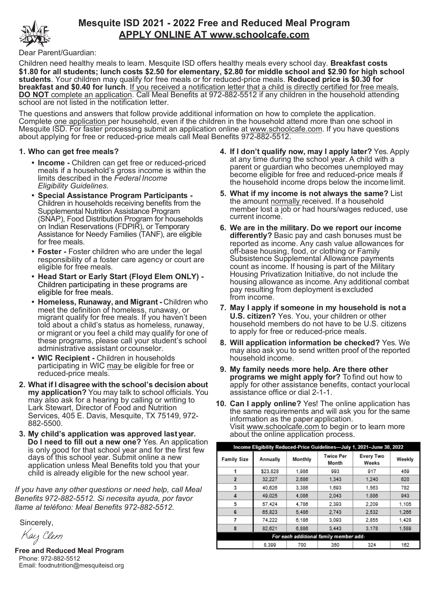

# **Mesquite ISD 2021 - 2022 Free and Reduced Meal Program APPLY ONLINE AT www.schoolcafe.com**

Dear Parent/Guardian:

Children need healthy meals to learn. Mesquite ISD offers healthy meals every school day. **Breakfast costs \$1.80 for all students; lunch costs \$2.50 for elementary, \$2.80 for middle school and \$2.90 for high school students**. Your children may qualify for free meals or for reduced-price meals. **Reduced price is \$0.30 for breakfast and \$0.40 for lunch**. If you received a notification letter that a child is directly certified for free meals, **DO NOT** complete an application. Call Meal Benefits at 972-882-5512 if any children in the household attending school are not listed in the notification letter.

The questions and answers that follow provide additional information on how to complete the application. Complete one application per household, even if the children in the household attend more than one school in Mesquite ISD. For faster processing submit an application online at www.schoolcafe.com. If you have questions about applying for free or reduced-price meals call Meal Benefits 972-882-5512.

### **1. Who can get free meals?**

- **• Income -** Children can get free or reduced-priced meals if a household's gross income is within the limits described in the *Federal Income Eligibility Guidelines*.
- **• Special Assistance Program Participants -** Children in households receiving benefits from the Supplemental Nutrition Assistance Program (SNAP), Food Distribution Program for households on Indian Reservations (FDPIR), or Temporary Assistance for Needy Families (TANF), are eligible for free meals.
- **• Foster -** Foster children who are under the legal responsibility of a foster care agency or court are eligible for free meals.
- **• Head Start or Early Start (Floyd Elem ONLY) -** Children participating in these programs are eligible for free meals.
- **• Homeless, Runaway, and Migrant -** Children who meet the definition of homeless, runaway, or migrant qualify for free meals. If you haven't been told about a child's status as homeless, runaway, or migrant or you feel a child may qualify for one of these programs, please call your student's school administrative assistant orcounselor.
- **• WIC Recipient -** Children in households participating in WIC may be eligible for free or reduced-price meals.
- **2. What if I disagree with the school's decision about my application?** You may talk to school officials. You may also ask for a hearing by calling or writing to Lark Stewart, Director of Food and Nutrition Services, 405 E. Davis, Mesquite, TX 75149, 972- 882-5500.
- **3. My child's application was approved lastyear. Do I need to fill out a new one?** Yes. An application is only good for that school year and for the first few days of this school year. Submit online a new application unless Meal Benefits told you that your child is already eligible for the new school year.

*If you have any other questions or need help, call Meal Benefits 972-882-5512. Si necesita ayuda, por favor llame al teléfono: Meal Benefits 972-882-5512.*

Sincerely,

Kay Clem

**Free and Reduced Meal Program** Phone: 972-882-5512 Email: foodnutrition@mesquiteisd.org

- **4. If I don't qualify now, may I apply later?** Yes. Apply at any time during the school year. A child with a parent or guardian who becomes unemployed may become eligible for free and reduced-price meals if the household income drops below the income limit.
- **5. What if my income is not always the same?** List the amount normally received. If a household member lost a job or had hours/wages reduced, use current income.
- **6. We are in the military. Do we report our income differently?** Basic pay and cash bonuses must be reported as income. Any cash value allowances for off-base housing, food, or clothing or Family Subsistence Supplemental Allowance payments count as income. If housing is part of the Military Housing Privatization Initiative, do not include the housing allowance as income. Any additional combat pay resulting from deployment is excluded from income.
- **7. May I apply if someone in my household is not a U.S. citizen?** Yes. You, your children or other household members do not have to be U.S. citizens to apply for free or reduced-price meals.
- **8. Will application information be checked?** Yes. We may also ask you to send written proof of the reported household income.
- **9. My family needs more help. Are there other programs we might apply for?** To find out how to apply for other assistance benefits, contact yourlocal assistance office or dial 2-1-1.
- **10. Can I apply online?** Yes! The online application has the same requirements and will ask you for the same information as the paper application. Visit www.schoolcafe.com to begin or to learn more about the online application process.

| Income Eligibility Reduced-Price Guidelines—July 1, 2021–June 30, 2022 |          |         |                           |                    |        |  |  |  |  |  |  |
|------------------------------------------------------------------------|----------|---------|---------------------------|--------------------|--------|--|--|--|--|--|--|
| <b>Family Size</b>                                                     | Annually | Monthly | <b>Twice Per</b><br>Month | Every Two<br>Weeks | Weekly |  |  |  |  |  |  |
|                                                                        | \$23,828 | 1,986   | 993                       | 917                | 459    |  |  |  |  |  |  |
| $\overline{\mathbf{z}}$                                                | 32.227   | 2.686   | 1.343                     | 1.240              | 620    |  |  |  |  |  |  |
| 3                                                                      | 40.626   | 3.386   | 1.693                     | 1.563              | 782    |  |  |  |  |  |  |
| 4                                                                      | 49.025   | 4.086   | 2.043                     | 1.886              | 943    |  |  |  |  |  |  |
| 5                                                                      | 57.424   | 4.786   | 2.393                     | 2.209              | 1.105  |  |  |  |  |  |  |
| 6                                                                      | 65.823   | 5.486   | 2.743                     | 2.532              | 1,266  |  |  |  |  |  |  |
|                                                                        | 74.222   | 6.186   | 3.093                     | 2.855              | 1,428  |  |  |  |  |  |  |
| 8                                                                      | 82.621   | 6.886   | 3.443                     | 3.178              | 1.589  |  |  |  |  |  |  |
| For each additional family member add:                                 |          |         |                           |                    |        |  |  |  |  |  |  |
|                                                                        | 8.399    | 700     | 350                       | 324                | 162    |  |  |  |  |  |  |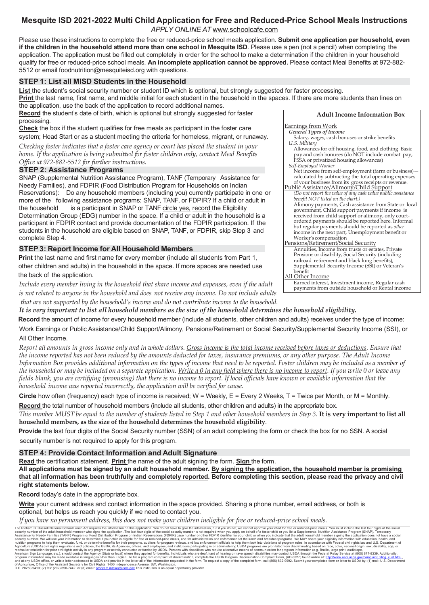## **Mesquite ISD 2021-2022 Multi Child Application for Free and Reduced-Price School Meals Instructions** *APPLY ONLINE AT* www.schoolcafe.com

Please use these instructions to complete the free or reduced-price school meals application. **Submit one application per household, even** if the children in the household attend more than one school in Mesquite ISD. Please use a pen (not a pencil) when completing the application. The application must be filled out completely in order for the school to make a determination if the children in your household qualify for free or reduced-price school meals. **An incomplete application cannot be approved.** Please contact Meal Benefits at 972-882- 5512 or email foodnutrition@mesquiteisd.org with questions.

#### **STEP 1: List all MISD Students in the Household**

**List** the student's social security number or student ID which is optional, but strongly suggested for faster processing.

**Print** the last name, first name, and middle initial for each student in the household in the spaces. If there are more students than lines on

the application, use the back of the application to record additional names. **Record** the student's date of birth, which is optional but strongly suggested for faster processing.

**Check** the box if the student qualifies for free meals as participant in the foster care system; Head Start or as a student meeting the criteria for homeless, migrant, or runaway.

*Checking foster indicates that a foster care agency or court has placed the student in your home. If the application is being submitted for foster children only, contact Meal Benefits Office at 972-882-5512 for further instructions.*

#### **STEP 2: Assistance Programs**

SNAP (Supplemental Nutrition Assistance Program), TANF (Temporary Assistance for Needy Families), and FDPIR (Food Distribution Program for Households on Indian Reservations): Do any household members (including you) currently participate in one or more of the following assistance programs: SNAP, TANF, or FDPIR? If a child or adult in the household is a participant in SNAP or TANF circle yes, record the Eligibility Determination Group (EDG) number in the space. If a child or adult in the household is a participant in FDPIR contact and provide documentation of the FDPIR participation. If the students in the household are eligible based on SNAP, TANF, or FDPIR, skip Step 3 and complete Step 4.

#### **STEP 3: Report Income for All Household Members**

 **Print** the last name and first name for every member (include all students from Part 1, other children and adults) in the household in the space. If more spaces are needed use the back of the application.

*Include every member living in the household that share income and expenses, even if the adult is not related to anyone in the household and does not receive any income. Do not include adults that are not supported by the household's income and do not contribute income to the household.*



Earnings from Work

- *General Types of Income*
- Salary, wages, cash bonuses or strike benefits *U.S. Military* Allowances for off housing, food, and clothing Basic
- pay and cash bonuses (do NOT include combat pay, FSSA or privatized housing allowances) *Self-Employed Worker*
- Net income from self-employment (farm or business)calculated by subtracting the total operating expenses of your business from its gross receipts or revenue. Public Assistance/Alimony/Child Support
- *(Do not report the value of any cash value public assistance benefit NOT listed on the chart.)* Alimony payments, Cash assistance from State or local government, Child support payments if income is received from child support or alimony, only courtordered payments should be reported here. Informal but regular payments should be reported as *other* income in the next part, Unemployment benefit or Worker's compensation
- Pensions/Retirement/Social Security Annuities, Income from trusts or estates, Private Pensions or disability, Social Security (including railroad retirement and black lung benefits), Supplemental Security Income (SSI) or Veteran's benefit
- All Other Income Earned interest, Investment income, Regular cash payments from outside household or Rental income

*It is very important to list all household members as the size of the household determines the household eligibility.*

 **Record** the amount of income for every household member (include all students, other children and adults) receives under the type of income: Work Earnings or Public Assistance/Child Support/Alimony, Pensions/Retirement or Social Security/Supplemental Security Income (SSI), or

#### All Other Income.

*Report all amounts in gross income only and in whole dollars. Gross income is the total income received before taxes or deductions. Ensure that the income reported has not been reduced by the amounts deducted for taxes, insurance premiums, or any other purpose. The Adult Income Information Box provides additional information on the types of income that need to be reported. Foster children may be included as a member of*  the household or may be included on a separate application. Write a  $0$  in any field where there is no income to report. If you write 0 or leave any fields blank, you are certifying (promising) that there is no income to report. If local officials have known or available information that the *household income was reported incorrectly, the application will be verified for cause.*

**Circle** how often (frequency) each type of income is received; W = Weekly, E = Every 2 Weeks, T = Twice per Month, or M = Monthly.

**Record** the total number of household members (include all students, other children and adults) in the appropriate box.

*This number MUST be equal to the number of students listed in Step 1 and other household members in Step 3.* **It is very important to list all household members, as the size of the household determines the household eligibility**.

 **Provide** the last four digits of the Social Security number (SSN) of an adult completing the form or check the box for no SSN. A social security number is not required to apply for this program.

#### **STEP 4: Provide Contact Information and Adult Signature**

**Read** the certification statement. **Print** the name of the adult signing the form. **Sign** the form.

All applications must be signed by an adult household member. By signing the application, the household member is promising that all information has been truthfully and completely reported. Before completing this section, please read the privacy and civil **right statements below.**

 **Record** today's date in the appropriate box.

**Write** your current address and contact information in the space provided. Sharing a phone number, email address, or both is optional, but helps us reach you quickly if we need to contact you.

*If you have no permanent address, this does not make your children ineligible for free or reduced-price school meals.*

The Richard B. Russell National School Lunch Act requires the information on this application. You do not have by give the information out Act reading Nation Tele ands. You must informate. You must informate the attend if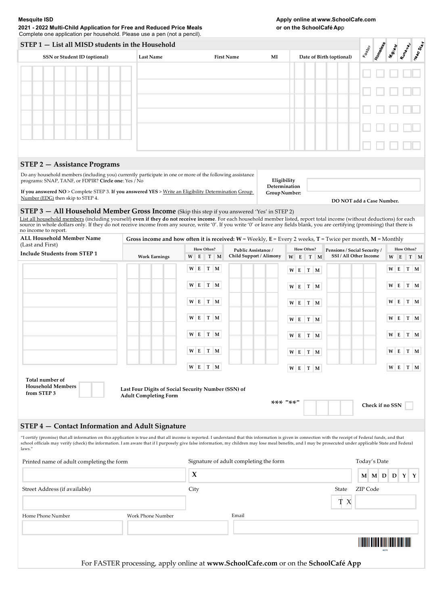**2021 - 2022 Multi-Child Application for Free and Reduced Price Meals or on the SchoolCafé Ap**p Complete one application per household. Please use a pen (not a pencil).

| STEP 1 - List all MISD students in the Household                                                                                                                                                                                                                                                                                                                                                                                     |                                                                                                              |   |                                        |     |                         |                                |                          |                                            | Foster<br>Momedass        |                              |            |
|--------------------------------------------------------------------------------------------------------------------------------------------------------------------------------------------------------------------------------------------------------------------------------------------------------------------------------------------------------------------------------------------------------------------------------------|--------------------------------------------------------------------------------------------------------------|---|----------------------------------------|-----|-------------------------|--------------------------------|--------------------------|--------------------------------------------|---------------------------|------------------------------|------------|
| SSN or Student ID (optional)                                                                                                                                                                                                                                                                                                                                                                                                         | <b>Last Name</b>                                                                                             |   | <b>First Name</b>                      |     | MI                      |                                | Date of Birth (optional) |                                            | Rundrid L<br><b>Wash</b>  | Tready State                 |            |
|                                                                                                                                                                                                                                                                                                                                                                                                                                      |                                                                                                              |   |                                        |     |                         |                                |                          |                                            |                           |                              |            |
|                                                                                                                                                                                                                                                                                                                                                                                                                                      |                                                                                                              |   |                                        |     |                         |                                |                          |                                            |                           |                              |            |
|                                                                                                                                                                                                                                                                                                                                                                                                                                      |                                                                                                              |   |                                        |     |                         |                                |                          |                                            |                           |                              |            |
|                                                                                                                                                                                                                                                                                                                                                                                                                                      |                                                                                                              |   |                                        |     |                         |                                |                          |                                            |                           |                              |            |
|                                                                                                                                                                                                                                                                                                                                                                                                                                      |                                                                                                              |   |                                        |     |                         |                                |                          |                                            |                           |                              |            |
|                                                                                                                                                                                                                                                                                                                                                                                                                                      |                                                                                                              |   |                                        |     |                         |                                |                          |                                            |                           |                              |            |
|                                                                                                                                                                                                                                                                                                                                                                                                                                      |                                                                                                              |   |                                        |     |                         |                                |                          |                                            |                           |                              |            |
|                                                                                                                                                                                                                                                                                                                                                                                                                                      |                                                                                                              |   |                                        |     |                         |                                |                          |                                            |                           |                              |            |
| <b>STEP 2 - Assistance Programs</b>                                                                                                                                                                                                                                                                                                                                                                                                  |                                                                                                              |   |                                        |     |                         |                                |                          |                                            |                           |                              |            |
| Do any household members (including you) currently participate in one or more of the following assistance<br>programs: SNAP, TANF, or FDPIR? Circle one: Yes / No                                                                                                                                                                                                                                                                    |                                                                                                              |   |                                        |     |                         | Eligibility                    |                          |                                            |                           |                              |            |
| If you answered NO > Complete STEP 3. If you answered YES > Write an Eligibility Determination Group                                                                                                                                                                                                                                                                                                                                 |                                                                                                              |   |                                        |     |                         | Determination<br>Group Number: |                          |                                            |                           |                              |            |
| Number (EDG) then skip to STEP 4.                                                                                                                                                                                                                                                                                                                                                                                                    |                                                                                                              |   |                                        |     |                         |                                |                          |                                            | DO NOT add a Case Number. |                              |            |
| STEP 3 - All Household Member Gross Income (Skip this step if you answered 'Yes' in STEP 2)<br>List all household members (including yourself) even if they do not receive income. For each household member listed, report total income (without deductions) for each                                                                                                                                                               |                                                                                                              |   |                                        |     |                         |                                |                          |                                            |                           |                              |            |
| source in whole dollars only. If they do not receive income from any source, write '0'. If you write '0' or leave any fields blank, you are certifying (promising) that there is<br>no income to report.                                                                                                                                                                                                                             |                                                                                                              |   |                                        |     |                         |                                |                          |                                            |                           |                              |            |
| <b>ALL Household Member Name</b>                                                                                                                                                                                                                                                                                                                                                                                                     | Gross income and how often it is received: $W$ = Weekly, E = Every 2 weeks, T = Twice per month, M = Monthly |   |                                        |     |                         |                                |                          |                                            |                           |                              |            |
| (Last and First)<br><b>Include Students from STEP 1</b>                                                                                                                                                                                                                                                                                                                                                                              |                                                                                                              |   | How Often?                             |     |                         | Public Assistance /            |                          | How Often?<br>Pensions / Social Security / |                           | How Often?                   |            |
|                                                                                                                                                                                                                                                                                                                                                                                                                                      | <b>Work Earnings</b>                                                                                         | W | E                                      | T M | Child Support / Alimony |                                | W E<br>T M               | SSI / All Other Income                     |                           | W<br>E                       | T M        |
|                                                                                                                                                                                                                                                                                                                                                                                                                                      |                                                                                                              |   | $W$ E T M                              |     |                         |                                | W E T M                  |                                            |                           | W E T M                      |            |
|                                                                                                                                                                                                                                                                                                                                                                                                                                      |                                                                                                              |   | $W$ E T M                              |     |                         |                                | W E T M                  |                                            |                           | W E T M                      |            |
|                                                                                                                                                                                                                                                                                                                                                                                                                                      |                                                                                                              |   | $W$ E T M                              |     |                         |                                |                          |                                            |                           | W E T M                      |            |
|                                                                                                                                                                                                                                                                                                                                                                                                                                      |                                                                                                              |   |                                        |     |                         |                                | W E T M                  |                                            |                           |                              |            |
|                                                                                                                                                                                                                                                                                                                                                                                                                                      |                                                                                                              |   | $W$ E T M                              |     |                         |                                | W E T M                  |                                            |                           | $W$ E T M                    |            |
|                                                                                                                                                                                                                                                                                                                                                                                                                                      |                                                                                                              |   | $W$ E T M                              |     |                         |                                | W E T M                  |                                            |                           | W E T M                      |            |
|                                                                                                                                                                                                                                                                                                                                                                                                                                      |                                                                                                              |   |                                        |     |                         |                                |                          |                                            |                           |                              |            |
|                                                                                                                                                                                                                                                                                                                                                                                                                                      |                                                                                                              |   | $W$ E T M                              |     |                         |                                | W E T M                  |                                            |                           | $W$ E                        | T<br>M     |
|                                                                                                                                                                                                                                                                                                                                                                                                                                      |                                                                                                              |   | $W$ E T M                              |     |                         |                                | W E T M                  |                                            |                           | $W$ E                        | $T \mid M$ |
| Total number of                                                                                                                                                                                                                                                                                                                                                                                                                      |                                                                                                              |   |                                        |     |                         |                                |                          |                                            |                           |                              |            |
| <b>Household Members</b><br>from STEP 3                                                                                                                                                                                                                                                                                                                                                                                              | Last Four Digits of Social Security Number (SSN) of<br><b>Adult Completing Form</b>                          |   |                                        |     |                         |                                |                          |                                            |                           |                              |            |
|                                                                                                                                                                                                                                                                                                                                                                                                                                      |                                                                                                              |   |                                        |     |                         |                                | *** -**.                 |                                            | Check if no SSN           |                              |            |
|                                                                                                                                                                                                                                                                                                                                                                                                                                      |                                                                                                              |   |                                        |     |                         |                                |                          |                                            |                           |                              |            |
| STEP 4 - Contact Information and Adult Signature                                                                                                                                                                                                                                                                                                                                                                                     |                                                                                                              |   |                                        |     |                         |                                |                          |                                            |                           |                              |            |
| "I certify (promise) that all information on this application is true and that all income is reported. I understand that this information is given in connection with the receipt of Federal funds, and that<br>school officials may verify (check) the information. I am aware that if I purposely give false information, my children may lose meal benefits, and I may be prosecuted under applicable State and Federal<br>laws." |                                                                                                              |   |                                        |     |                         |                                |                          |                                            |                           |                              |            |
| Printed name of adult completing the form                                                                                                                                                                                                                                                                                                                                                                                            |                                                                                                              |   | Signature of adult completing the form |     |                         |                                |                          | Today's Date                               |                           |                              |            |
|                                                                                                                                                                                                                                                                                                                                                                                                                                      |                                                                                                              |   | $\boldsymbol{\chi}$                    |     |                         |                                |                          |                                            | M M D                     | $\mathbf{D}$<br>$\mathbf{Y}$ | Y          |
| Street Address (if available)                                                                                                                                                                                                                                                                                                                                                                                                        |                                                                                                              |   | City<br>State                          |     |                         |                                |                          |                                            | ZIP Code                  |                              |            |
|                                                                                                                                                                                                                                                                                                                                                                                                                                      |                                                                                                              |   |                                        |     |                         |                                |                          | T X                                        |                           |                              |            |
|                                                                                                                                                                                                                                                                                                                                                                                                                                      |                                                                                                              |   |                                        |     |                         |                                |                          |                                            |                           |                              |            |
| Home Phone Number                                                                                                                                                                                                                                                                                                                                                                                                                    | Work Phone Number                                                                                            |   |                                        |     | Email                   |                                |                          |                                            |                           |                              |            |
|                                                                                                                                                                                                                                                                                                                                                                                                                                      |                                                                                                              |   |                                        |     |                         |                                |                          |                                            |                           |                              |            |
|                                                                                                                                                                                                                                                                                                                                                                                                                                      |                                                                                                              |   |                                        |     |                         |                                |                          |                                            |                           |                              |            |
|                                                                                                                                                                                                                                                                                                                                                                                                                                      |                                                                                                              |   |                                        |     |                         |                                |                          |                                            |                           |                              |            |

For FASTER processing, apply online at **www.SchoolCafe.com** or on the **SchoolCafé App**